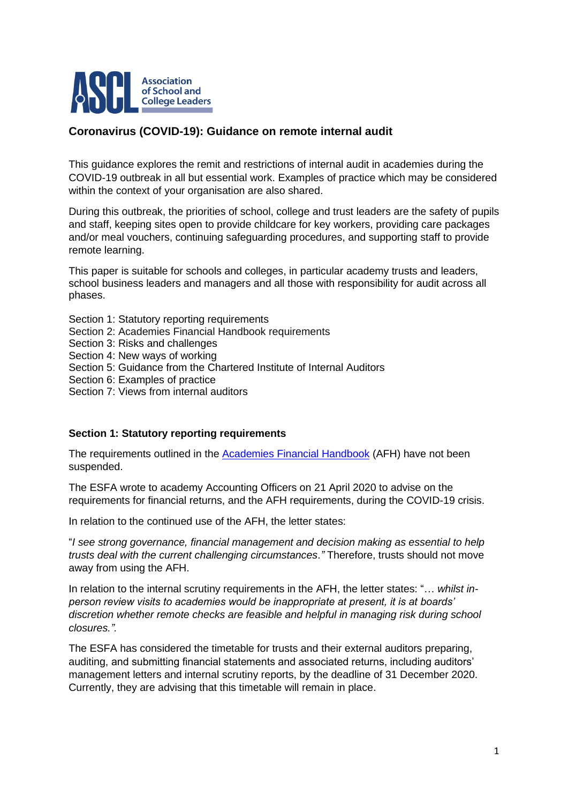

# **Coronavirus (COVID-19): Guidance on remote internal audit**

This guidance explores the remit and restrictions of internal audit in academies during the COVID-19 outbreak in all but essential work. Examples of practice which may be considered within the context of your organisation are also shared.

During this outbreak, the priorities of school, college and trust leaders are the safety of pupils and staff, keeping sites open to provide childcare for key workers, providing care packages and/or meal vouchers, continuing safeguarding procedures, and supporting staff to provide remote learning.

This paper is suitable for schools and colleges, in particular academy trusts and leaders, school business leaders and managers and all those with responsibility for audit across all phases.

- Section 1: Statutory reporting requirements
- Section 2: Academies Financial Handbook requirements
- Section 3: Risks and challenges
- Section 4: New ways of working
- Section 5: Guidance from the Chartered Institute of Internal Auditors
- Section 6: Examples of practice
- Section 7: Views from internal auditors

#### **Section 1: Statutory reporting requirements**

The requirements outlined in the [Academies Financial Handbook](https://www.gov.uk/guidance/academies-financial-handbook) (AFH) have not been suspended.

The ESFA wrote to academy Accounting Officers on 21 April 2020 to advise on the requirements for financial returns, and the AFH requirements, during the COVID-19 crisis.

In relation to the continued use of the AFH, the letter states:

"*I see strong governance, financial management and decision making as essential to help trusts deal with the current challenging circumstances."* Therefore, trusts should not move away from using the AFH.

In relation to the internal scrutiny requirements in the AFH, the letter states: "… *whilst inperson review visits to academies would be inappropriate at present, it is at boards' discretion whether remote checks are feasible and helpful in managing risk during school closures.".*

The ESFA has considered the timetable for trusts and their external auditors preparing, auditing, and submitting financial statements and associated returns, including auditors' management letters and internal scrutiny reports, by the deadline of 31 December 2020. Currently, they are advising that this timetable will remain in place.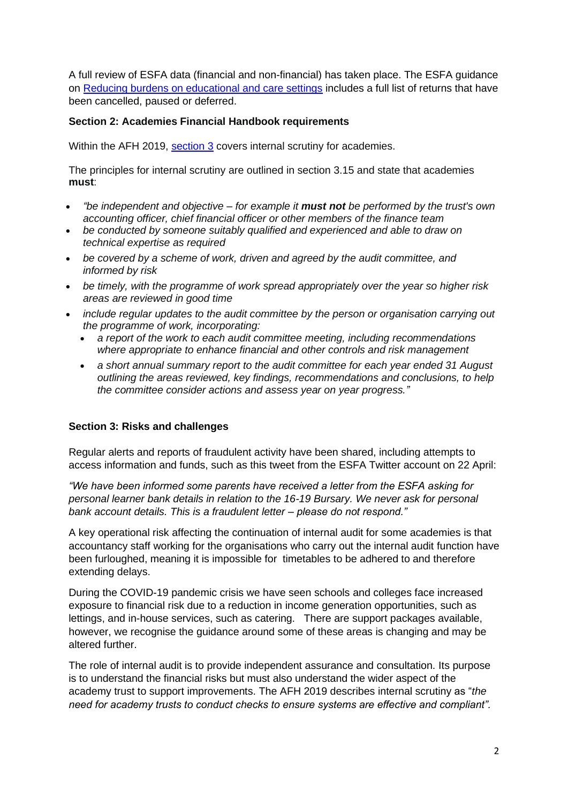A full review of ESFA data (financial and non-financial) has taken place. The ESFA guidance on [Reducing burdens on educational and care settings](https://www.gov.uk/government/publications/coronavirus-covid-19-reducing-burdens-on-educational-and-care-settings/reducing-burdens-on-educational-and-care-settings) includes a full list of returns that have been cancelled, paused or deferred.

### **Section 2: Academies Financial Handbook requirements**

Within the AFH 2019, [section](https://www.gov.uk/guidance/academies-financial-handbook/part-3-internal-scrutiny) 3 covers internal scrutiny for academies.

The principles for internal scrutiny are outlined in section 3.15 and state that academies **must**:

- *"be independent and objective – for example it must not be performed by the trust's own accounting officer, chief financial officer or other members of the finance team*
- *be conducted by someone suitably qualified and experienced and able to draw on technical expertise as required*
- *be covered by a scheme of work, driven and agreed by the audit committee, and informed by risk*
- *be timely, with the programme of work spread appropriately over the year so higher risk areas are reviewed in good time*
- *include regular updates to the audit committee by the person or organisation carrying out the programme of work, incorporating:*
	- *a report of the work to each audit committee meeting, including recommendations where appropriate to enhance financial and other controls and risk management*
	- *a short annual summary report to the audit committee for each year ended 31 August outlining the areas reviewed, key findings, recommendations and conclusions, to help the committee consider actions and assess year on year progress."*

#### **Section 3: Risks and challenges**

Regular alerts and reports of fraudulent activity have been shared, including attempts to access information and funds, such as this tweet from the ESFA Twitter account on 22 April:

*"We have been informed some parents have received a letter from the ESFA asking for personal learner bank details in relation to the 16-19 Bursary. We never ask for personal bank account details. This is a fraudulent letter – please do not respond."*

A key operational risk affecting the continuation of internal audit for some academies is that accountancy staff working for the organisations who carry out the internal audit function have been furloughed, meaning it is impossible for timetables to be adhered to and therefore extending delays.

During the COVID-19 pandemic crisis we have seen schools and colleges face increased exposure to financial risk due to a reduction in income generation opportunities, such as lettings, and in-house services, such as catering. There are support packages available, however, we recognise the guidance around some of these areas is changing and may be altered further.

The role of internal audit is to provide independent assurance and consultation. Its purpose is to understand the financial risks but must also understand the wider aspect of the academy trust to support improvements. The AFH 2019 describes internal scrutiny as "*the need for academy trusts to conduct checks to ensure systems are effective and compliant".*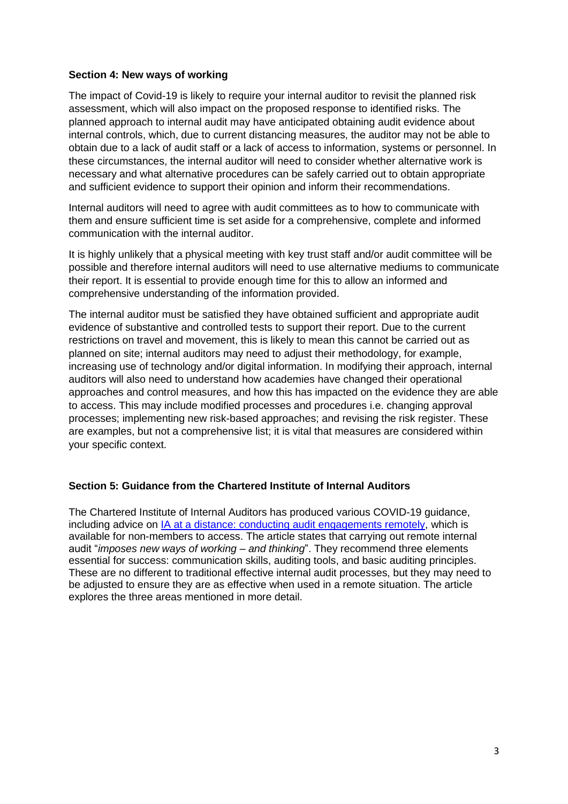#### **Section 4: New ways of working**

The impact of Covid-19 is likely to require your internal auditor to revisit the planned risk assessment, which will also impact on the proposed response to identified risks. The planned approach to internal audit may have anticipated obtaining audit evidence about internal controls, which, due to current distancing measures, the auditor may not be able to obtain due to a lack of audit staff or a lack of access to information, systems or personnel. In these circumstances, the internal auditor will need to consider whether alternative work is necessary and what alternative procedures can be safely carried out to obtain appropriate and sufficient evidence to support their opinion and inform their recommendations.

Internal auditors will need to agree with audit committees as to how to communicate with them and ensure sufficient time is set aside for a comprehensive, complete and informed communication with the internal auditor.

It is highly unlikely that a physical meeting with key trust staff and/or audit committee will be possible and therefore internal auditors will need to use alternative mediums to communicate their report. It is essential to provide enough time for this to allow an informed and comprehensive understanding of the information provided.

The internal auditor must be satisfied they have obtained sufficient and appropriate audit evidence of substantive and controlled tests to support their report. Due to the current restrictions on travel and movement, this is likely to mean this cannot be carried out as planned on site; internal auditors may need to adjust their methodology, for example, increasing use of technology and/or digital information. In modifying their approach, internal auditors will also need to understand how academies have changed their operational approaches and control measures, and how this has impacted on the evidence they are able to access. This may include modified processes and procedures i.e. changing approval processes; implementing new risk-based approaches; and revising the risk register. These are examples, but not a comprehensive list; it is vital that measures are considered within your specific context.

#### **Section 5: Guidance from the Chartered Institute of Internal Auditors**

The Chartered Institute of Internal Auditors has produced various COVID-19 guidance, including advice on [IA at a distance: conducting audit engagements remotely,](https://www.iia.org.uk/covid-19-hub/covid-19-guidance/ia-at-a-distance-conducting-audit-engagements-remotely/) which is available for non-members to access. The article states that carrying out remote internal audit "*imposes new ways of working – and thinking*". They recommend three elements essential for success: communication skills, auditing tools, and basic auditing principles. These are no different to traditional effective internal audit processes, but they may need to be adjusted to ensure they are as effective when used in a remote situation. The article explores the three areas mentioned in more detail.